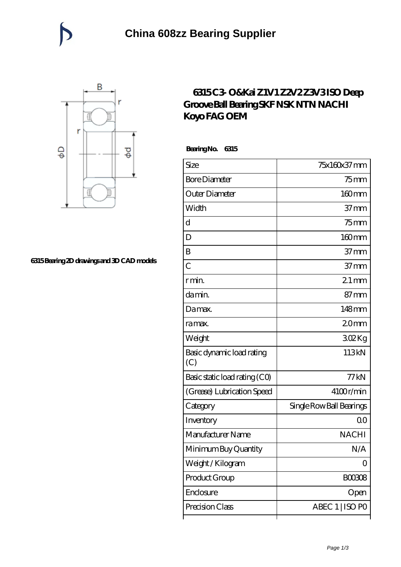

## **[6315 Bearing 2D drawings and 3D CAD models](https://catchios.com/pic-592296.html)**

## **[6315 C3- O&Kai Z1V1 Z2V2 Z3V3 ISO Deep](https://catchios.com/fag-c3-bearing/nachi-6315.html) [Groove Ball Bearing SKF NSK NTN NACHI](https://catchios.com/fag-c3-bearing/nachi-6315.html) [Koyo FAG OEM](https://catchios.com/fag-c3-bearing/nachi-6315.html)**

 **Bearing No. 6315**

| Size                             | 75x160x37 mm             |
|----------------------------------|--------------------------|
| <b>Bore Diameter</b>             | 75 mm                    |
| Outer Diameter                   | 160mm                    |
| Width                            | 37 mm                    |
| d                                | $75$ mm                  |
| D                                | 160mm                    |
| B                                | 37 <sub>mm</sub>         |
| $\overline{C}$                   | 37 <sub>mm</sub>         |
| r min.                           | $21 \,\mathrm{mm}$       |
| da min.                          | $87 \text{mm}$           |
| Damax.                           | $148$ mm                 |
| ra max.                          | 20 <sub>mm</sub>         |
| Weight                           | 302Kg                    |
| Basic dynamic load rating<br>(C) | 113kN                    |
| Basic static load rating (CO)    | 77kN                     |
| (Grease) Lubrication Speed       | 4100r/min                |
| Category                         | Single Row Ball Bearings |
| Inventory                        | 0 <sup>0</sup>           |
| Manufacturer Name                | <b>NACHI</b>             |
| Minimum Buy Quantity             | N/A                      |
| Weight/Kilogram                  | 0                        |
| Product Group                    | <b>BOO308</b>            |
| Enclosure                        | Open                     |
| Precision Class                  | ABEC 1   ISO PO          |
|                                  |                          |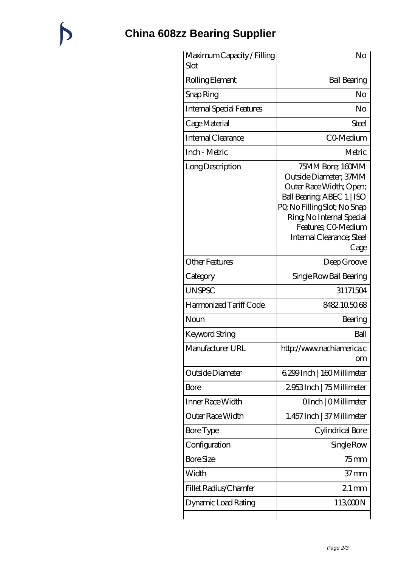## **[China 608zz Bearing Supplier](https://catchios.com)**

 $\bigtriangledown$ 

| Maximum Capacity / Filling<br>Slot | No                                                                                                                                                                                                                          |
|------------------------------------|-----------------------------------------------------------------------------------------------------------------------------------------------------------------------------------------------------------------------------|
| Rolling Element                    | <b>Ball Bearing</b>                                                                                                                                                                                                         |
| Snap Ring                          | No                                                                                                                                                                                                                          |
| <b>Internal Special Features</b>   | No                                                                                                                                                                                                                          |
| Cage Material                      | Steel                                                                                                                                                                                                                       |
| Internal Clearance                 | CO-Medium                                                                                                                                                                                                                   |
| Inch - Metric                      | Metric                                                                                                                                                                                                                      |
| Long Description                   | 75MM Bore; 160MM<br>Outside Diameter; 37MM<br>Outer Race Width; Open;<br>Ball Bearing, ABEC 1   ISO<br>PQ No Filling Slot; No Snap<br>Ring, No Internal Special<br>Features; CO-Medium<br>Internal Clearance; Steel<br>Cage |
| <b>Other Features</b>              | Deep Groove                                                                                                                                                                                                                 |
| Category                           | Single Row Ball Bearing                                                                                                                                                                                                     |
| <b>UNSPSC</b>                      | 31171504                                                                                                                                                                                                                    |
| Harmonized Tariff Code             | 8482105068                                                                                                                                                                                                                  |
| Noun                               | Bearing                                                                                                                                                                                                                     |
| Keyword String                     | Ball                                                                                                                                                                                                                        |
| Manufacturer URL                   | http://www.nachiamerica.c<br><b>om</b>                                                                                                                                                                                      |
| Outside Diameter                   | 6.299 Inch   160 Millimeter                                                                                                                                                                                                 |
| Bore                               | 2953Inch   75 Millimeter                                                                                                                                                                                                    |
| Inner Race Width                   | OInch   OMillimeter                                                                                                                                                                                                         |
| Outer Race Width                   | 1.457 Inch   37 Millimeter                                                                                                                                                                                                  |
| <b>Bore Type</b>                   | Cylindrical Bore                                                                                                                                                                                                            |
| Configuration                      | Single Row                                                                                                                                                                                                                  |
| <b>Bore Size</b>                   | $75$ mm                                                                                                                                                                                                                     |
| Width                              | 37 <sub>mm</sub>                                                                                                                                                                                                            |
| Fillet Radius/Chamfer              | $21 \,\mathrm{mm}$                                                                                                                                                                                                          |
| Dynamic Load Rating                | 113000N                                                                                                                                                                                                                     |